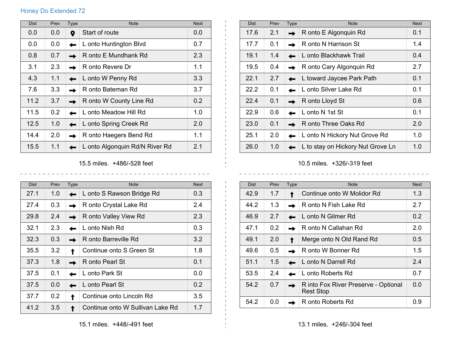## Honey Do Extended 72

| <b>Dist</b> | Prev | Type | <b>Note</b>                    | <b>Next</b> |
|-------------|------|------|--------------------------------|-------------|
| 0.0         | 0.0  | 9    | Start of route                 | 0.0         |
| 0.0         | 0.0  |      | L onto Huntington Blvd         | 0.7         |
| 0.8         | 0.7  |      | R onto E Mundhank Rd           | 2.3         |
| 3.1         | 2.3  |      | R onto Revere Dr               | 1.1         |
| 4.3         | 1.1  |      | L onto W Penny Rd              | 3.3         |
| 7.6         | 3.3  |      | R onto Bateman Rd              | 3.7         |
| 11.2        | 3.7  |      | R onto W County Line Rd        | 0.2         |
| 11.5        | 0.2  |      | L onto Meadow Hill Rd          | 1.0         |
| 12.5        | 1.0  |      | L onto Spring Creek Rd         | 2.0         |
| 14.4        | 2.0  |      | R onto Haegers Bend Rd         | 1.1         |
| 15.5        | 1.1  |      | L onto Algonquin Rd/N River Rd | 2.1         |

15.5 miles. +486/-528 feet  $\begin{array}{cccccccccccccc} \bot & \bot & \bot & \bot & \bot & \bot & \bot & \bot \end{array}$ 

 $\sim$   $\sim$  $\sim$   $\sim$ 

 $\mathbf{I}$ 

| <b>Dist</b> | Prev | <b>Type</b> | <b>Note</b>                      | <b>Next</b> |
|-------------|------|-------------|----------------------------------|-------------|
| 27.1        | 1.0  |             | L onto S Rawson Bridge Rd        | 0.3         |
| 27.4        | 0.3  |             | R onto Crystal Lake Rd           | 2.4         |
| 29.8        | 2.4  |             | R onto Valley View Rd            | 2.3         |
| 32.1        | 2.3  |             | L onto Nish Rd                   | 0.3         |
| 32.3        | 0.3  |             | R onto Barreville Rd             | 3.2         |
| 35.5        | 3.2  |             | Continue onto S Green St         | 1.8         |
| 37.3        | 1.8  |             | R onto Pearl St                  | 0.1         |
| 37.5        | 0.1  |             | L onto Park St                   | 0.0         |
| 37.5        | 0.0  |             | L onto Pearl St                  | 0.2         |
| 37.7        | 0.2  |             | Continue onto Lincoln Rd         | 3.5         |
| 41.2        | 3.5  |             | Continue onto W Sullivan Lake Rd | 1.7         |

| <b>Dist</b> | Prev | Type | <b>Note</b>                       | <b>Next</b> |
|-------------|------|------|-----------------------------------|-------------|
| 17.6        | 2.1  |      | R onto E Algonquin Rd             | 0.1         |
| 17.7        | 0.1  |      | R onto N Harrison St              | 1.4         |
| 19.1        | 1.4  |      | L onto Blackhawk Trail            | 0.4         |
| 19.5        | 0.4  |      | R onto Cary Algonquin Rd          | 2.7         |
| 22.1        | 2.7  |      | L toward Jaycee Park Path         | 0.1         |
| 22.2        | 0.1  |      | L onto Silver Lake Rd             | 0.1         |
| 22.4        | 0.1  |      | R onto Lloyd St                   | 0.6         |
| 22.9        | 0.6  |      | L onto N 1st St                   | 0.1         |
| 23.0        | 0.1  |      | R onto Three Oaks Rd              | 2.0         |
| 25.1        | 2.0  |      | L onto N Hickory Nut Grove Rd     | 1.0         |
| 26.0        | 1.0  |      | L to stay on Hickory Nut Grove Ln | 1.0         |

10.5 miles. +326/-319 feet

 $\frac{1}{2}$   $\frac{1}{2}$   $\frac{1}{2}$   $\frac{1}{2}$   $\frac{1}{2}$   $\frac{1}{2}$   $\frac{1}{2}$ 

| <b>Dist</b> | Prev | Type | <b>Note</b>                                              | <b>Next</b>   |
|-------------|------|------|----------------------------------------------------------|---------------|
| 42.9        | 1.7  |      | Continue onto W Molidor Rd                               | 1.3           |
| 44.2        | 1.3  |      | R onto N Fish Lake Rd                                    | 2.7           |
| 46.9        | 2.7  |      | L onto N Gilmer Rd                                       | $0.2^{\circ}$ |
| 47.1        | 0.2  |      | R onto N Callahan Rd                                     | 2.0           |
| 49.1        | 2.0  |      | Merge onto N Old Rand Rd                                 | 0.5           |
| 49.6        | 0.5  |      | R onto W Bonner Rd                                       | 1.5           |
| 51.1        | 1.5  |      | L onto N Darrell Rd                                      | 2.4           |
| 53.5        | 2.4  |      | L onto Roberts Rd                                        | 0.7           |
| 54.2        | 0.7  |      | R into Fox River Preserve - Optional<br><b>Rest Stop</b> | 0.0           |
| 54.2        | 0.0  |      | R onto Roberts Rd                                        | 0.9           |